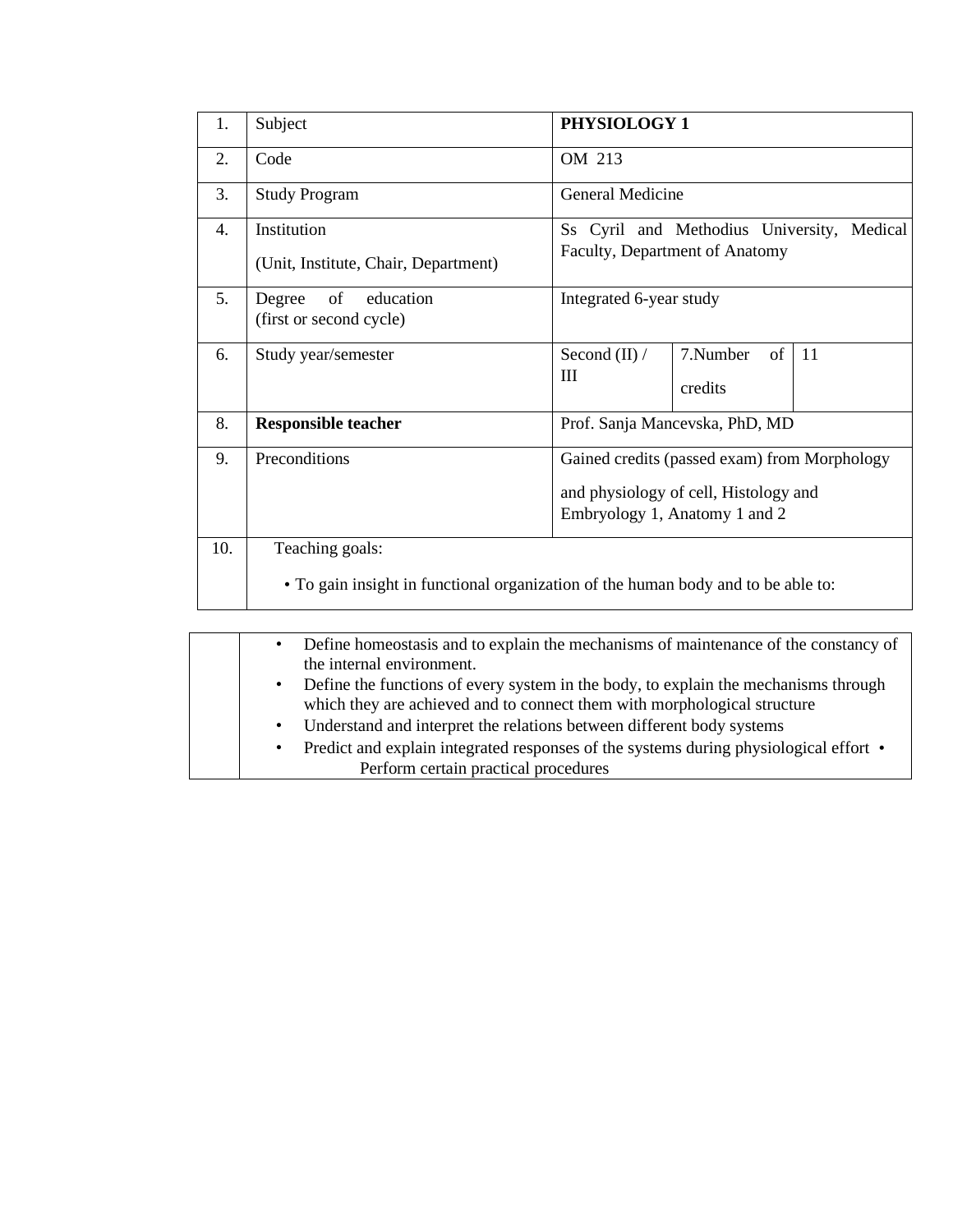| 1.               | Subject                                                                                              | PHYSIOLOGY 1                                                                 |                                                                                                                        |  |  |  |  |
|------------------|------------------------------------------------------------------------------------------------------|------------------------------------------------------------------------------|------------------------------------------------------------------------------------------------------------------------|--|--|--|--|
| 2.               | Code                                                                                                 | OM 213                                                                       |                                                                                                                        |  |  |  |  |
| 3.               | <b>Study Program</b>                                                                                 | General Medicine                                                             |                                                                                                                        |  |  |  |  |
| $\overline{4}$ . | Institution<br>(Unit, Institute, Chair, Department)                                                  | Ss Cyril and Methodius University, Medical<br>Faculty, Department of Anatomy |                                                                                                                        |  |  |  |  |
| 5.               | of<br>education<br>Degree<br>(first or second cycle)                                                 | Integrated 6-year study                                                      |                                                                                                                        |  |  |  |  |
| 6.               | Study year/semester                                                                                  | Second $(II) /$<br>Ш                                                         | 7.Number<br>of<br>-11<br>credits                                                                                       |  |  |  |  |
| 8.               | <b>Responsible teacher</b>                                                                           |                                                                              | Prof. Sanja Mancevska, PhD, MD                                                                                         |  |  |  |  |
| 9.               | Preconditions                                                                                        |                                                                              | Gained credits (passed exam) from Morphology<br>and physiology of cell, Histology and<br>Embryology 1, Anatomy 1 and 2 |  |  |  |  |
| 10.              | Teaching goals:<br>• To gain insight in functional organization of the human body and to be able to: |                                                                              |                                                                                                                        |  |  |  |  |

| Define homeostasis and to explain the mechanisms of maintenance of the constancy of<br>$\bullet$                                                                  |  |
|-------------------------------------------------------------------------------------------------------------------------------------------------------------------|--|
| the internal environment.                                                                                                                                         |  |
| • Define the functions of every system in the body, to explain the mechanisms through<br>which they are achieved and to connect them with morphological structure |  |
| • Understand and interpret the relations between different body systems                                                                                           |  |
| • Predict and explain integrated responses of the systems during physiological effort •<br>Perform certain practical procedures                                   |  |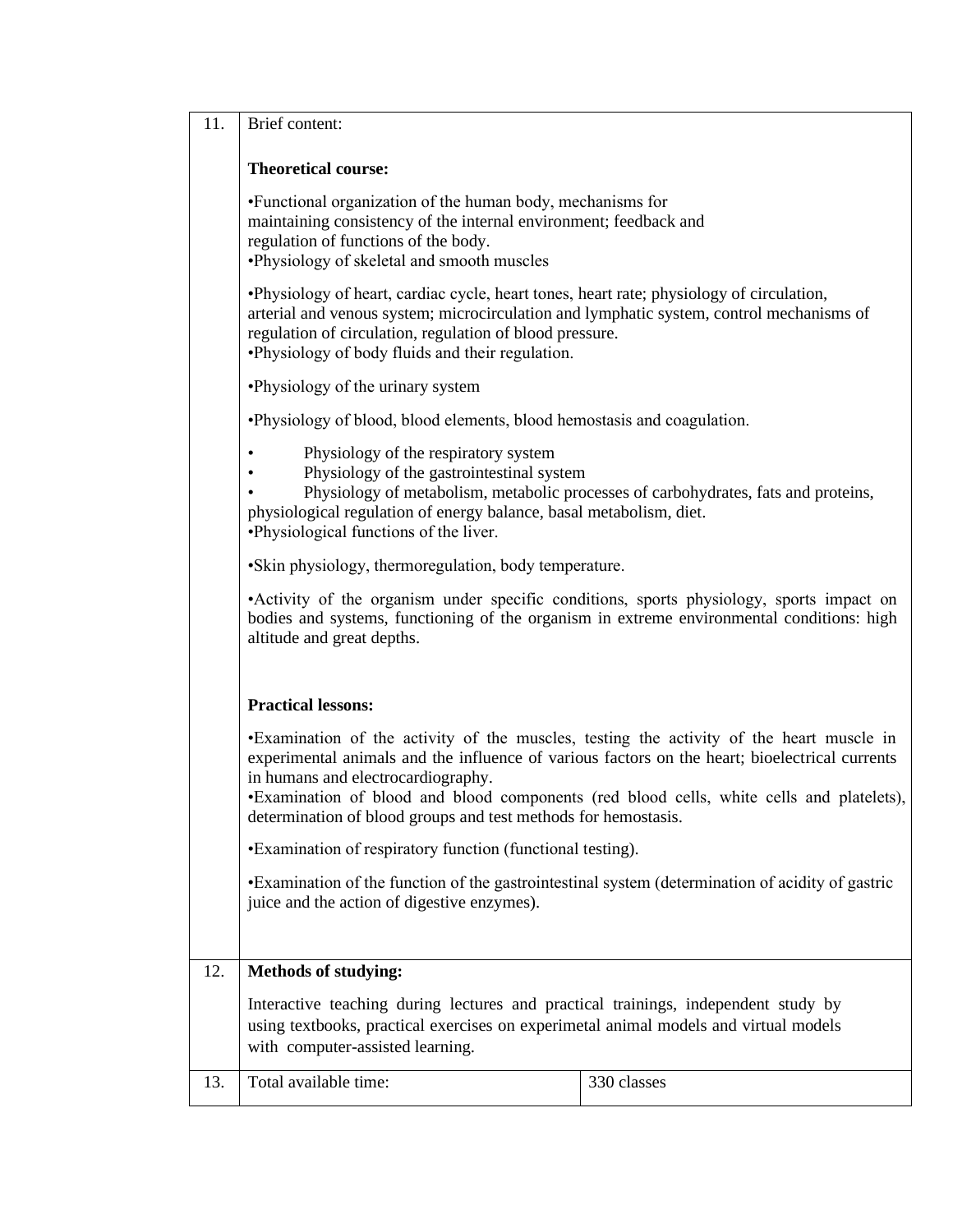| 11. | Brief content:                                                                                                                                                                                                                                                                                                                                                                                 |             |  |  |  |  |  |  |  |  |  |
|-----|------------------------------------------------------------------------------------------------------------------------------------------------------------------------------------------------------------------------------------------------------------------------------------------------------------------------------------------------------------------------------------------------|-------------|--|--|--|--|--|--|--|--|--|
|     | <b>Theoretical course:</b>                                                                                                                                                                                                                                                                                                                                                                     |             |  |  |  |  |  |  |  |  |  |
|     | •Functional organization of the human body, mechanisms for<br>maintaining consistency of the internal environment; feedback and<br>regulation of functions of the body.<br>•Physiology of skeletal and smooth muscles                                                                                                                                                                          |             |  |  |  |  |  |  |  |  |  |
|     | . Physiology of heart, cardiac cycle, heart tones, heart rate; physiology of circulation,<br>arterial and venous system; microcirculation and lymphatic system, control mechanisms of<br>regulation of circulation, regulation of blood pressure.<br>•Physiology of body fluids and their regulation.                                                                                          |             |  |  |  |  |  |  |  |  |  |
|     | •Physiology of the urinary system                                                                                                                                                                                                                                                                                                                                                              |             |  |  |  |  |  |  |  |  |  |
|     | •Physiology of blood, blood elements, blood hemostasis and coagulation.                                                                                                                                                                                                                                                                                                                        |             |  |  |  |  |  |  |  |  |  |
|     | Physiology of the respiratory system<br>$\bullet$<br>Physiology of the gastrointestinal system<br>Physiology of metabolism, metabolic processes of carbohydrates, fats and proteins,<br>physiological regulation of energy balance, basal metabolism, diet.<br>•Physiological functions of the liver.                                                                                          |             |  |  |  |  |  |  |  |  |  |
|     | •Skin physiology, thermoregulation, body temperature.                                                                                                                                                                                                                                                                                                                                          |             |  |  |  |  |  |  |  |  |  |
|     | •Activity of the organism under specific conditions, sports physiology, sports impact on<br>bodies and systems, functioning of the organism in extreme environmental conditions: high<br>altitude and great depths.                                                                                                                                                                            |             |  |  |  |  |  |  |  |  |  |
|     | <b>Practical lessons:</b>                                                                                                                                                                                                                                                                                                                                                                      |             |  |  |  |  |  |  |  |  |  |
|     | •Examination of the activity of the muscles, testing the activity of the heart muscle in<br>experimental animals and the influence of various factors on the heart; bioelectrical currents<br>in humans and electrocardiography.<br>•Examination of blood and blood components (red blood cells, white cells and platelets),<br>determination of blood groups and test methods for hemostasis. |             |  |  |  |  |  |  |  |  |  |
|     | •Examination of respiratory function (functional testing).                                                                                                                                                                                                                                                                                                                                     |             |  |  |  |  |  |  |  |  |  |
|     | •Examination of the function of the gastrointestinal system (determination of acidity of gastric<br>juice and the action of digestive enzymes).                                                                                                                                                                                                                                                |             |  |  |  |  |  |  |  |  |  |
| 12. | <b>Methods of studying:</b>                                                                                                                                                                                                                                                                                                                                                                    |             |  |  |  |  |  |  |  |  |  |
|     | Interactive teaching during lectures and practical trainings, independent study by<br>using textbooks, practical exercises on experimetal animal models and virtual models<br>with computer-assisted learning.                                                                                                                                                                                 |             |  |  |  |  |  |  |  |  |  |
| 13. | Total available time:                                                                                                                                                                                                                                                                                                                                                                          | 330 classes |  |  |  |  |  |  |  |  |  |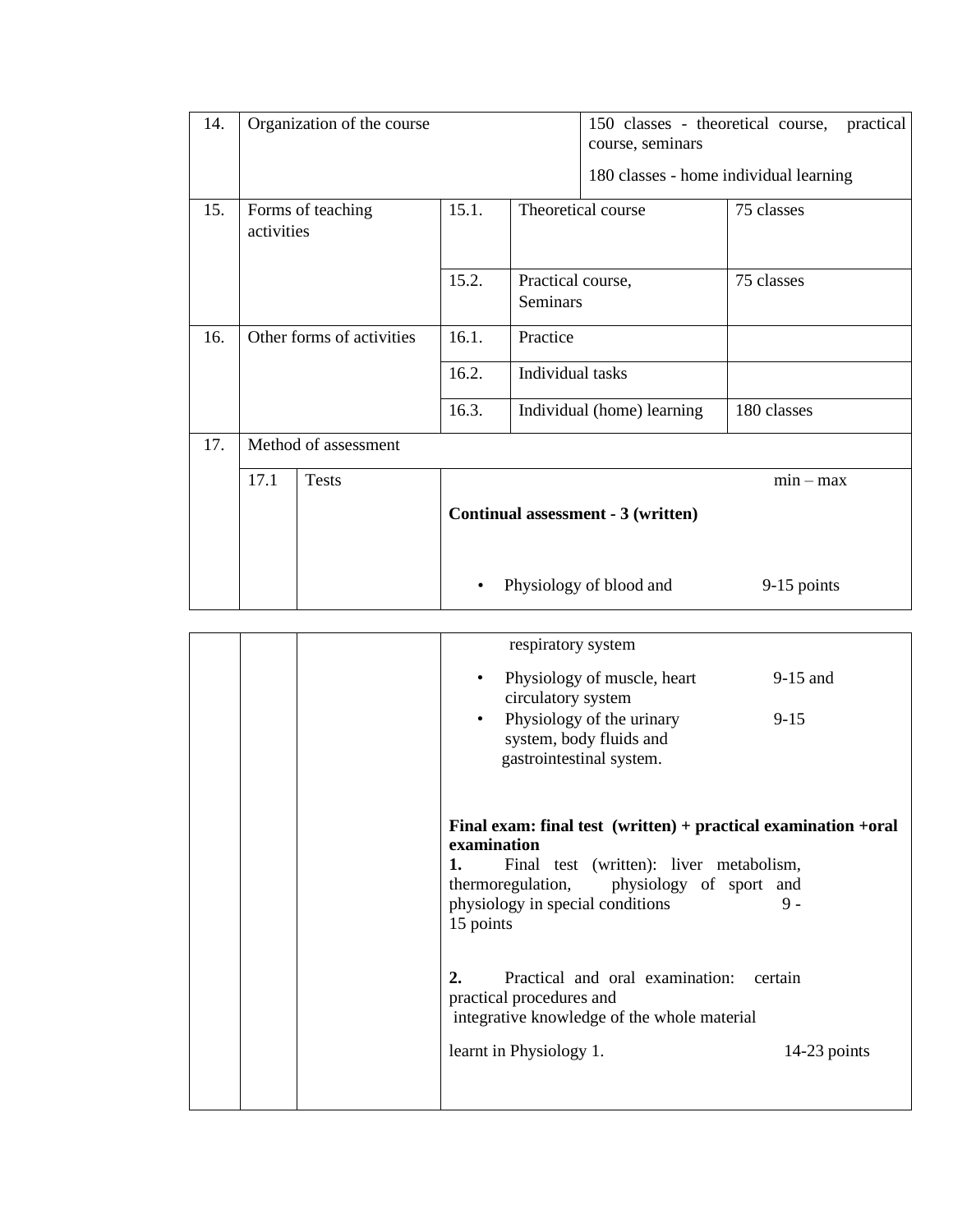| 14. |                                          | Organization of the course |       |                               | 150 classes - theoretical course,<br>practical<br>course, seminars |                                        |  |
|-----|------------------------------------------|----------------------------|-------|-------------------------------|--------------------------------------------------------------------|----------------------------------------|--|
|     |                                          |                            |       |                               |                                                                    | 180 classes - home individual learning |  |
| 15. | 15.1.<br>Forms of teaching<br>activities |                            |       |                               | Theoretical course<br>75 classes                                   |                                        |  |
|     |                                          |                            | 15.2. | Practical course,<br>Seminars |                                                                    | 75 classes                             |  |
| 16. |                                          | Other forms of activities  | 16.1. | Practice                      |                                                                    |                                        |  |
|     |                                          |                            | 16.2. | Individual tasks              |                                                                    |                                        |  |
|     |                                          |                            | 16.3. |                               | Individual (home) learning                                         | 180 classes                            |  |
| 17. |                                          | Method of assessment       |       |                               |                                                                    |                                        |  |
|     | 17.1                                     | <b>Tests</b>               |       |                               |                                                                    | $min - max$                            |  |
|     |                                          |                            |       |                               | Continual assessment - 3 (written)                                 |                                        |  |
|     |                                          |                            |       |                               | Physiology of blood and                                            | 9-15 points                            |  |

| respiratory system                                                                                                                                                                                                             |                |
|--------------------------------------------------------------------------------------------------------------------------------------------------------------------------------------------------------------------------------|----------------|
| Physiology of muscle, heart<br>$\bullet$<br>circulatory system                                                                                                                                                                 | $9-15$ and     |
| Physiology of the urinary<br>$\bullet$<br>system, body fluids and<br>gastrointestinal system.                                                                                                                                  | $9 - 15$       |
| Final exam: final test $(written) + practical examination +oral$<br>examination<br>Final test (written): liver metabolism,<br>1.<br>thermoregulation, physiology of sport and<br>physiology in special conditions<br>15 points | $9 -$          |
| 2.<br>Practical and oral examination: certain<br>practical procedures and<br>integrative knowledge of the whole material                                                                                                       |                |
| learnt in Physiology 1.                                                                                                                                                                                                        | $14-23$ points |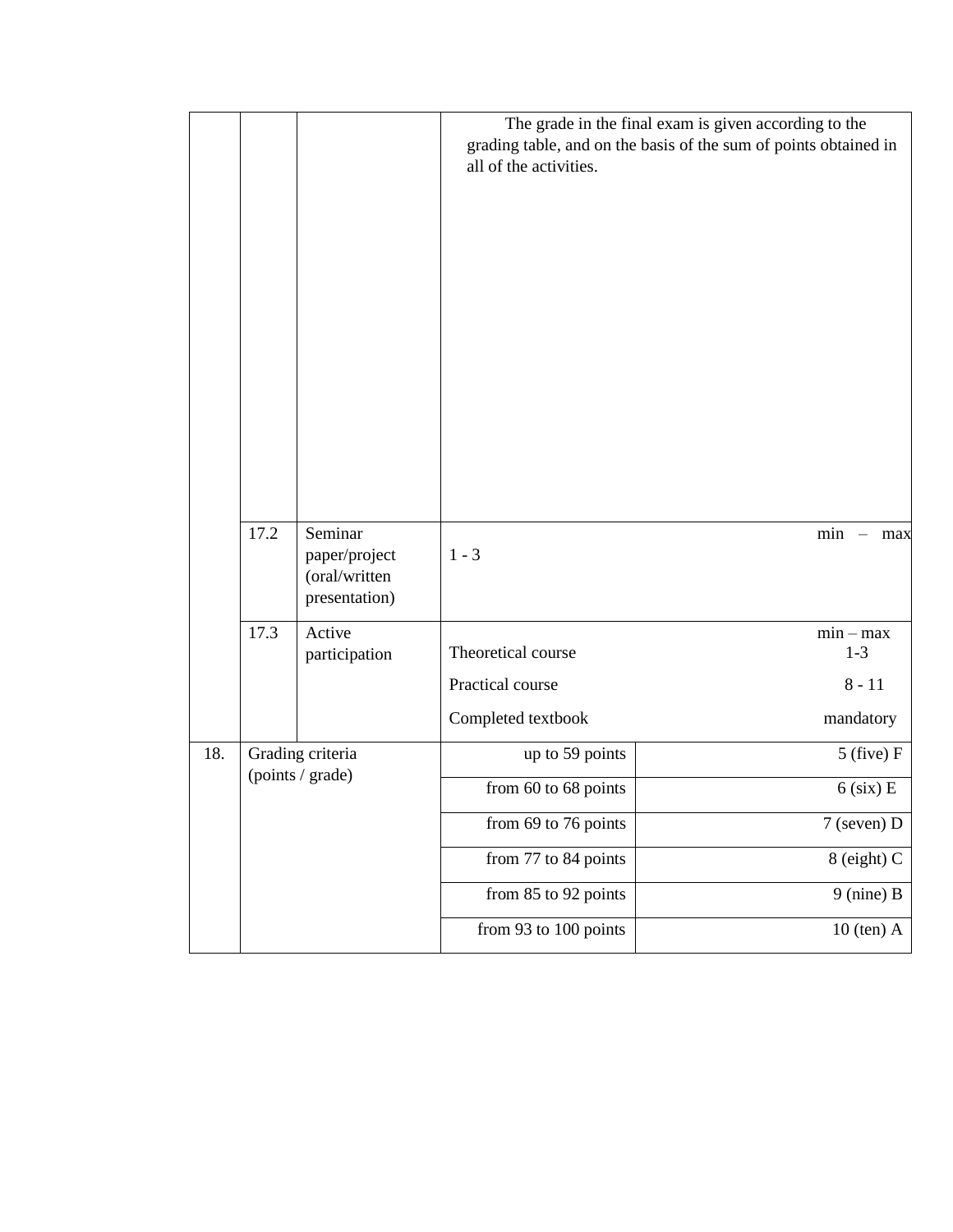|     |      |                                                            | all of the activities.                                       | The grade in the final exam is given according to the<br>grading table, and on the basis of the sum of points obtained in |
|-----|------|------------------------------------------------------------|--------------------------------------------------------------|---------------------------------------------------------------------------------------------------------------------------|
|     | 17.2 | Seminar<br>paper/project<br>(oral/written<br>presentation) | $1 - 3$                                                      | $min$ - $max$                                                                                                             |
|     | 17.3 | Active<br>participation                                    | Theoretical course<br>Practical course<br>Completed textbook | $min - max$<br>$1 - 3$<br>$8 - 11$<br>mandatory                                                                           |
| 18. |      | Grading criteria                                           | up to 59 points                                              | $5$ (five) F                                                                                                              |
|     |      | (points / grade)                                           | from 60 to 68 points                                         | $6$ (six) E                                                                                                               |
|     |      |                                                            | from 69 to 76 points                                         | 7 (seven) D                                                                                                               |
|     |      |                                                            | from 77 to 84 points                                         | 8 (eight) C                                                                                                               |
|     |      |                                                            | from 85 to 92 points                                         | $9$ (nine) B                                                                                                              |
|     |      |                                                            | from 93 to 100 points                                        | $10$ (ten) $A$                                                                                                            |